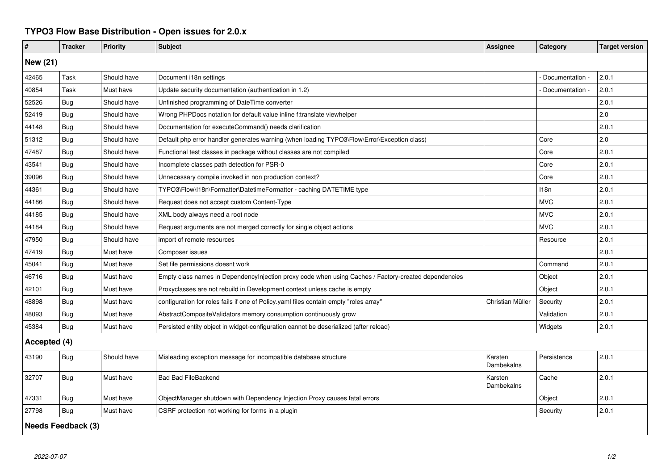## **TYPO3 Flow Base Distribution - Open issues for 2.0.x**

| $\pmb{\#}$   | <b>Tracker</b> | <b>Priority</b> | <b>Subject</b>                                                                                       | <b>Assignee</b>       | Category        | <b>Target version</b> |  |  |  |
|--------------|----------------|-----------------|------------------------------------------------------------------------------------------------------|-----------------------|-----------------|-----------------------|--|--|--|
| New (21)     |                |                 |                                                                                                      |                       |                 |                       |  |  |  |
| 42465        | Task           | Should have     | Document i18n settings                                                                               |                       | Documentation - | 2.0.1                 |  |  |  |
| 40854        | Task           | Must have       | Update security documentation (authentication in 1.2)                                                |                       | Documentation   | 2.0.1                 |  |  |  |
| 52526        | Bug            | Should have     | Unfinished programming of DateTime converter                                                         |                       |                 | 2.0.1                 |  |  |  |
| 52419        | <b>Bug</b>     | Should have     | Wrong PHPDocs notation for default value inline f:translate viewhelper                               |                       |                 | 2.0                   |  |  |  |
| 44148        | <b>Bug</b>     | Should have     | Documentation for executeCommand() needs clarification                                               |                       |                 | 2.0.1                 |  |  |  |
| 51312        | Bug            | Should have     | Default php error handler generates warning (when loading TYPO3\Flow\Error\Exception class)          |                       | Core            | 2.0                   |  |  |  |
| 47487        | <b>Bug</b>     | Should have     | Functional test classes in package without classes are not compiled                                  |                       | Core            | 2.0.1                 |  |  |  |
| 43541        | Bug            | Should have     | Incomplete classes path detection for PSR-0                                                          |                       | Core            | 2.0.1                 |  |  |  |
| 39096        | <b>Bug</b>     | Should have     | Unnecessary compile invoked in non production context?                                               |                       | Core            | 2.0.1                 |  |  |  |
| 44361        | <b>Bug</b>     | Should have     | TYPO3\Flow\I18n\Formatter\DatetimeFormatter - caching DATETIME type                                  |                       | 118n            | 2.0.1                 |  |  |  |
| 44186        | Bug            | Should have     | Request does not accept custom Content-Type                                                          |                       | <b>MVC</b>      | 2.0.1                 |  |  |  |
| 44185        | <b>Bug</b>     | Should have     | XML body always need a root node                                                                     |                       | <b>MVC</b>      | 2.0.1                 |  |  |  |
| 44184        | Bug            | Should have     | Request arguments are not merged correctly for single object actions                                 |                       | <b>MVC</b>      | 2.0.1                 |  |  |  |
| 47950        | <b>Bug</b>     | Should have     | import of remote resources                                                                           |                       | Resource        | 2.0.1                 |  |  |  |
| 47419        | <b>Bug</b>     | Must have       | Composer issues                                                                                      |                       |                 | 2.0.1                 |  |  |  |
| 45041        | Bug            | Must have       | Set file permissions doesnt work                                                                     |                       | Command         | 2.0.1                 |  |  |  |
| 46716        | <b>Bug</b>     | Must have       | Empty class names in DependencyInjection proxy code when using Caches / Factory-created dependencies |                       | Object          | 2.0.1                 |  |  |  |
| 42101        | Bug            | Must have       | Proxyclasses are not rebuild in Development context unless cache is empty                            |                       | Object          | 2.0.1                 |  |  |  |
| 48898        | <b>Bug</b>     | Must have       | configuration for roles fails if one of Policy.yaml files contain empty "roles array"                | Christian Müller      | Security        | 2.0.1                 |  |  |  |
| 48093        | <b>Bug</b>     | Must have       | AbstractCompositeValidators memory consumption continuously grow                                     |                       | Validation      | 2.0.1                 |  |  |  |
| 45384        | Bug            | Must have       | Persisted entity object in widget-configuration cannot be deserialized (after reload)                |                       | Widgets         | 2.0.1                 |  |  |  |
| Accepted (4) |                |                 |                                                                                                      |                       |                 |                       |  |  |  |
| 43190        | <b>Bug</b>     | Should have     | Misleading exception message for incompatible database structure                                     | Karsten<br>Dambekalns | Persistence     | 2.0.1                 |  |  |  |
| 32707        | <b>Bug</b>     | Must have       | <b>Bad Bad FileBackend</b>                                                                           | Karsten<br>Dambekalns | Cache           | 2.0.1                 |  |  |  |
| 47331        | <b>Bug</b>     | Must have       | ObjectManager shutdown with Dependency Injection Proxy causes fatal errors                           |                       | Object          | 2.0.1                 |  |  |  |
| 27798        | <b>Bug</b>     | Must have       | CSRF protection not working for forms in a plugin                                                    |                       | Security        | 2.0.1                 |  |  |  |

**Needs Feedback (3)**